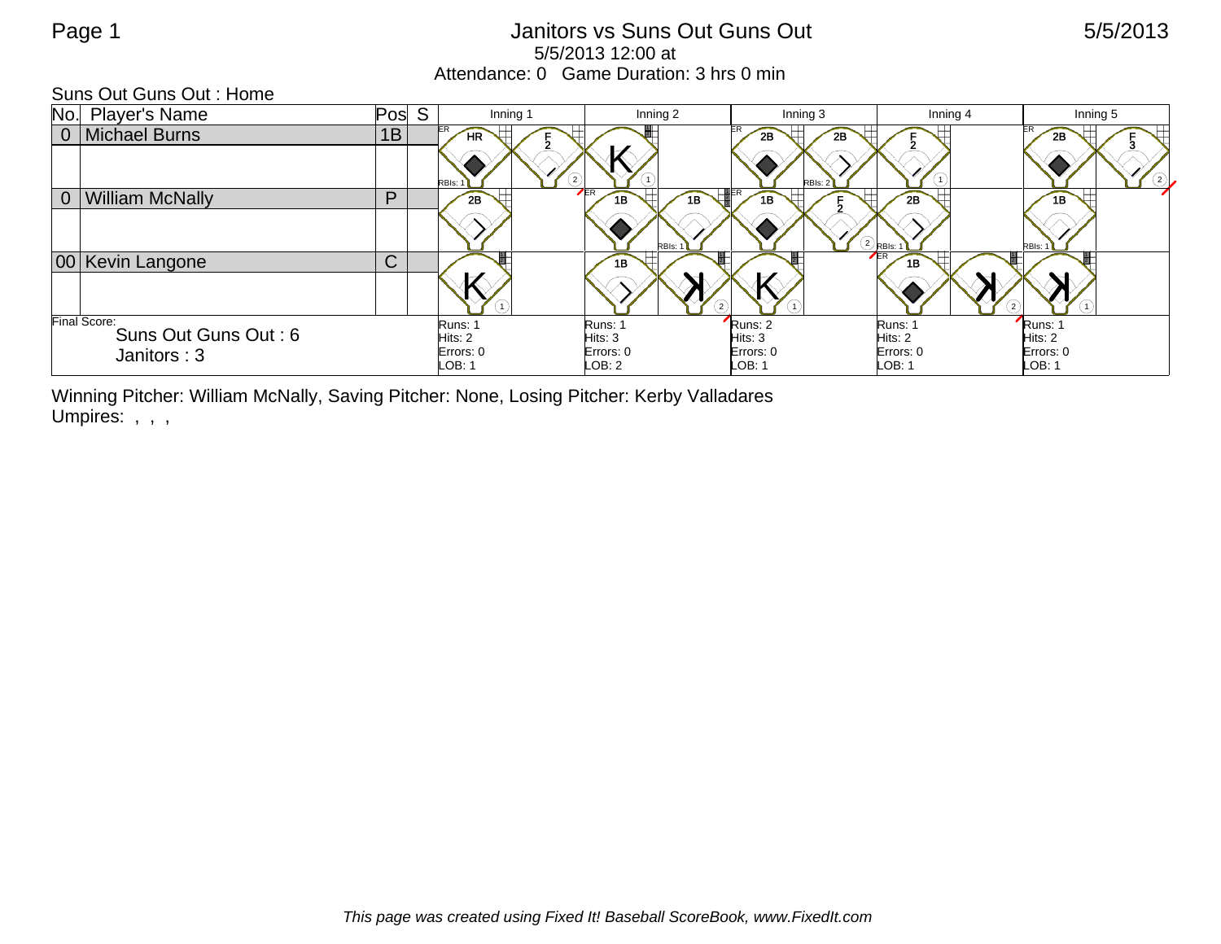## Page 1 **Details 12 and 13 and 13 and 13 and 13 and 13 and 13 and 13 and 13 and 13 and 13 and 14 and 15/5/2013** 5/5/2013 12:00 at Attendance: 0 Game Duration: 3 hrs 0 min

Suns Out Guns Out : Home

| No.<br><b>Player's Name</b>              | Pos          | S<br>Inning 1        | Inning 2              | Inning 3             | Inning 4                  | Inning 5             |
|------------------------------------------|--------------|----------------------|-----------------------|----------------------|---------------------------|----------------------|
| 0   Michael Burns                        | 1B           | <b>HR</b>            |                       | 2B<br>2B             |                           | 2Β                   |
|                                          |              | RBIs:                |                       | RBIs: 2              |                           | (2)                  |
| <b>William McNally</b><br>0 <sup>1</sup> | P            | 2B                   | <b>ER</b><br>1B<br>1B | 1B                   | 2B                        |                      |
|                                          |              |                      | RBI <sub>s</sub> :    |                      | * (2) <sub>RBIs:</sub> ** | RBIs:                |
| 00 Kevin Langone                         | $\mathsf{C}$ |                      | 1B                    |                      | $E$ R<br>1B               |                      |
|                                          |              |                      |                       |                      |                           |                      |
| Final Score:<br>Suns Out Guns Out: 6     |              | Runs: 1              | Runs: 1               | Runs: 2              | Runs: 1                   | Runs: 1              |
|                                          |              | Hits: 2<br>Errors: 0 | Hits: 3<br>Errors: 0  | Hits: 3<br>Errors: 0 | Hits: 2<br>Errors: 0      | Hits: 2<br>Errors: 0 |
| Janitors: 3                              |              | LOB: 1               | LOB: 2                | LOB: 1               | LOB: 1                    | LOB: 1               |

Winning Pitcher: William McNally, Saving Pitcher: None, Losing Pitcher: Kerby Valladares Umpires: , , ,